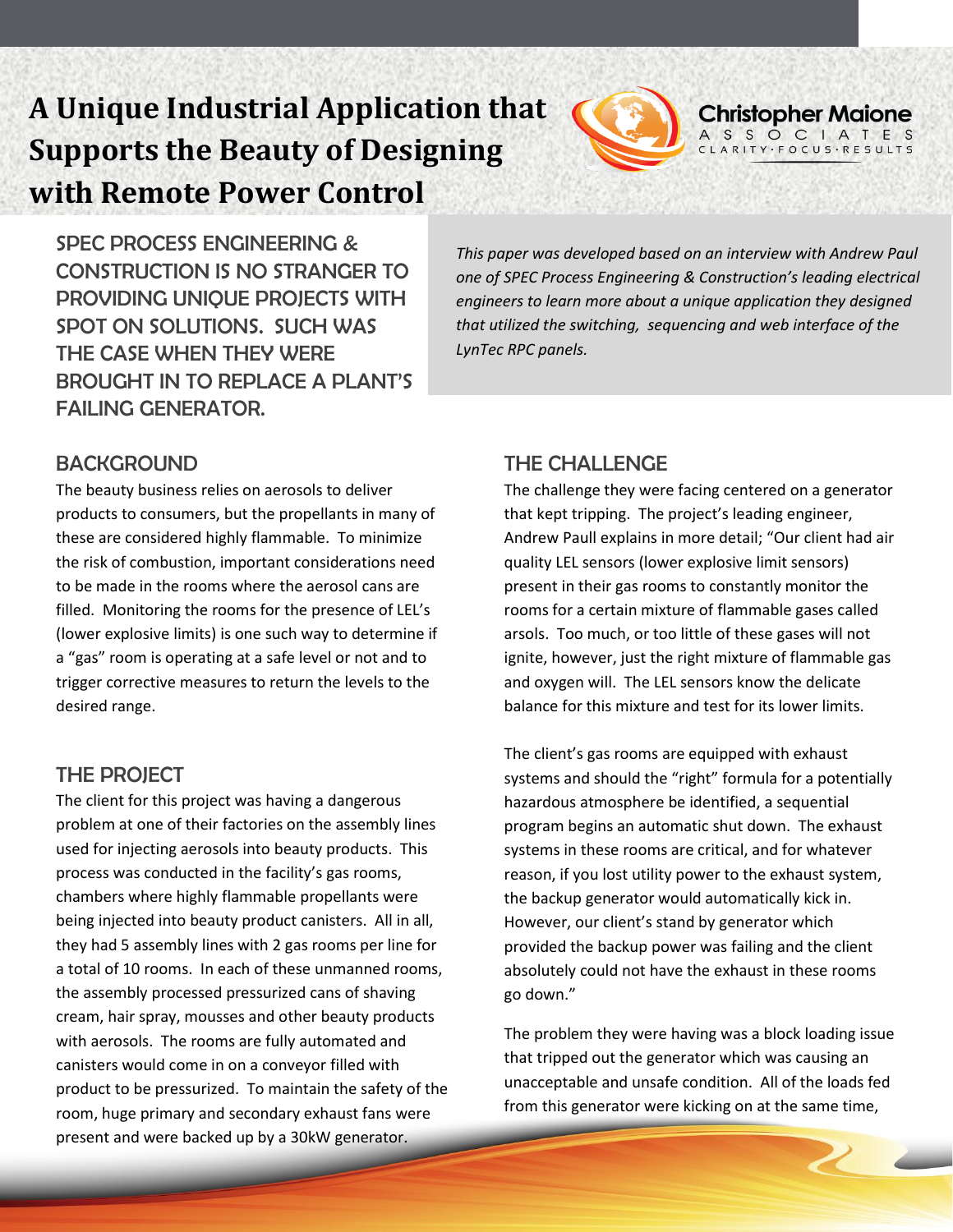# **A Unique Industrial Application that Supports the Beauty of Designing with Remote Power Control**



SPEC PROCESS ENGINEERING & CONSTRUCTION IS NO STRANGER TO PROVIDING UNIQUE PROJECTS WITH SPOT ON SOLUTIONS. SUCH WAS THE CASE WHEN THEY WERE BROUGHT IN TO REPLACE A PLANT'S FAILING GENERATOR.

#### **BACKGROUND**

The beauty business relies on aerosols to deliver products to consumers, but the propellants in many of these are considered highly flammable. To minimize the risk of combustion, important considerations need to be made in the rooms where the aerosol cans are filled. Monitoring the rooms for the presence of LEL's (lower explosive limits) is one such way to determine if  a "gas" room is operating at a safe level or not and to trigger corrective measures to return the levels to the desired range.

#### THE PROJECT

The client for this project was having a dangerous problem at one of their factories on the assembly lines used for injecting aerosols into beauty products. This process was conducted in the facility's gas rooms, chambers where highly flammable propellants were being injected into beauty product canisters. All in all, they had 5 assembly lines with 2 gas rooms per line for a total of 10 rooms. In each of these unmanned rooms, the assembly processed pressurized cans of shaving cream, hair spray, mousses and other beauty products with aerosols. The rooms are fully automated and canisters would come in on a conveyor filled with product to be pressurized. To maintain the safety of the room, huge primary and secondary exhaust fans were present and were backed up by a 30kW generator.

*This paper was developed based on an interview with Andrew Paul one of SPEC Process Engineering & Construction's leading electrical engineers to learn more about a unique application they designed that utilized the switching, sequencing and web interface of the LynTec RPC panels.*

#### THE CHALLENGE

The challenge they were facing centered on a generator that kept tripping. The project's leading engineer, Andrew Paull explains in more detail; "Our client had air quality LEL sensors (lower explosive limit sensors) present in their gas rooms to constantly monitor the rooms for a certain mixture of flammable gases called arsols. Too much, or too little of these gases will not ignite, however, just the right mixture of flammable gas and oxygen will. The LEL sensors know the delicate balance for this mixture and test for its lower limits.

The client's gas rooms are equipped with exhaust systems and should the "right" formula for a potentially hazardous atmosphere be identified, a sequential program begins an automatic shut down. The exhaust systems in these rooms are critical, and for whatever reason, if you lost utility power to the exhaust system, the backup generator would automatically kick in. However, our client's stand by generator which provided the backup power was failing and the client absolutely could not have the exhaust in these rooms go down."

The problem they were having was a block loading issue that tripped out the generator which was causing an unacceptable and unsafe condition. All of the loads fed from this generator were kicking on at the same time,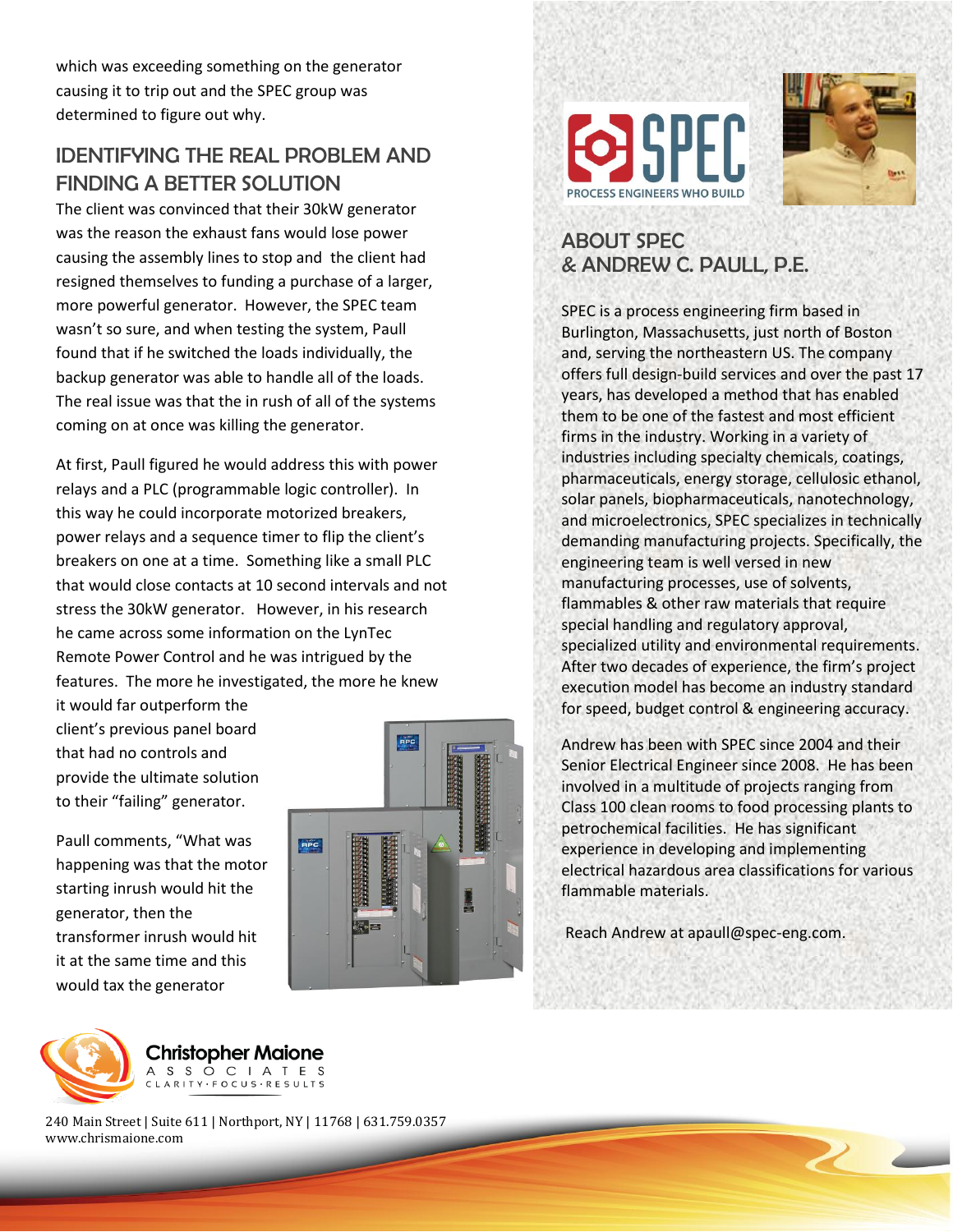which was exceeding something on the generator causing it to trip out and the SPEC group was determined to figure out why.

# IDENTIFYING THE REAL PROBLEM AND FINDING A BETTER SOLUTION

The client was convinced that their 30kW generator was the reason the exhaust fans would lose power causing the assembly lines to stop and the client had resigned themselves to funding a purchase of a larger, more powerful generator. However, the SPEC team wasn't so sure, and when testing the system, Paull found that if he switched the loads individually, the backup generator was able to handle all of the loads. The real issue was that the in rush of all of the systems coming on at once was killing the generator.

At first, Paull figured he would address this with power relays and a PLC (programmable logic controller). In this way he could incorporate motorized breakers, power relays and a sequence timer to flip the client's breakers on one at a time. Something like a small PLC that would close contacts at 10 second intervals and not stress the 30kW generator. However, in his research he came across some information on the LynTec Remote Power Control and he was intrigued by the features. The more he investigated, the more he knew

it would far outperform the client's previous panel board that had no controls and provide the ultimate solution to their "failing" generator.

Paull comments, "What was happening was that the motor starting inrush would hit the generator, then the transformer inrush would hit it at the same time and this would tax the generator







# ABOUT SPEC & ANDREW C. PAULL, P.E.

SPEC is a process engineering firm based in Burlington, Massachusetts, just north of Boston and, serving the northeastern US. The company offers full design-build services and over the past 17 years, has developed a method that has enabled them to be one of the fastest and most efficient firms in the industry. Working in a variety of industries including specialty chemicals, coatings, pharmaceuticals, energy storage, cellulosic ethanol, solar panels, biopharmaceuticals, nanotechnology, and microelectronics, SPEC specializes in technically demanding manufacturing projects. Specifically, the engineering team is well versed in new manufacturing processes, use of solvents, flammables & other raw materials that require special handling and regulatory approval, specialized utility and environmental requirements. After two decades of experience, the firm's project execution model has become an industry standard for speed, budget control & engineering accuracy.

Andrew has been with SPEC since 2004 and their Senior Electrical Engineer since 2008. He has been involved in a multitude of projects ranging from Class 100 clean rooms to food processing plants to petrochemical facilities. He has significant experience in developing and implementing electrical hazardous area classifications for various flammable materials.

Reach Andrew at [apaull@spec-eng.com.](mailto:apaull@spec-eng.com)



**Christopher Maione** A S S O C I A T E S ARITY · FOCUS · RESULTS

240 Main Street | Suite 611 | Northport, NY | 11768 | 631.759.0357 www.chrismaione.com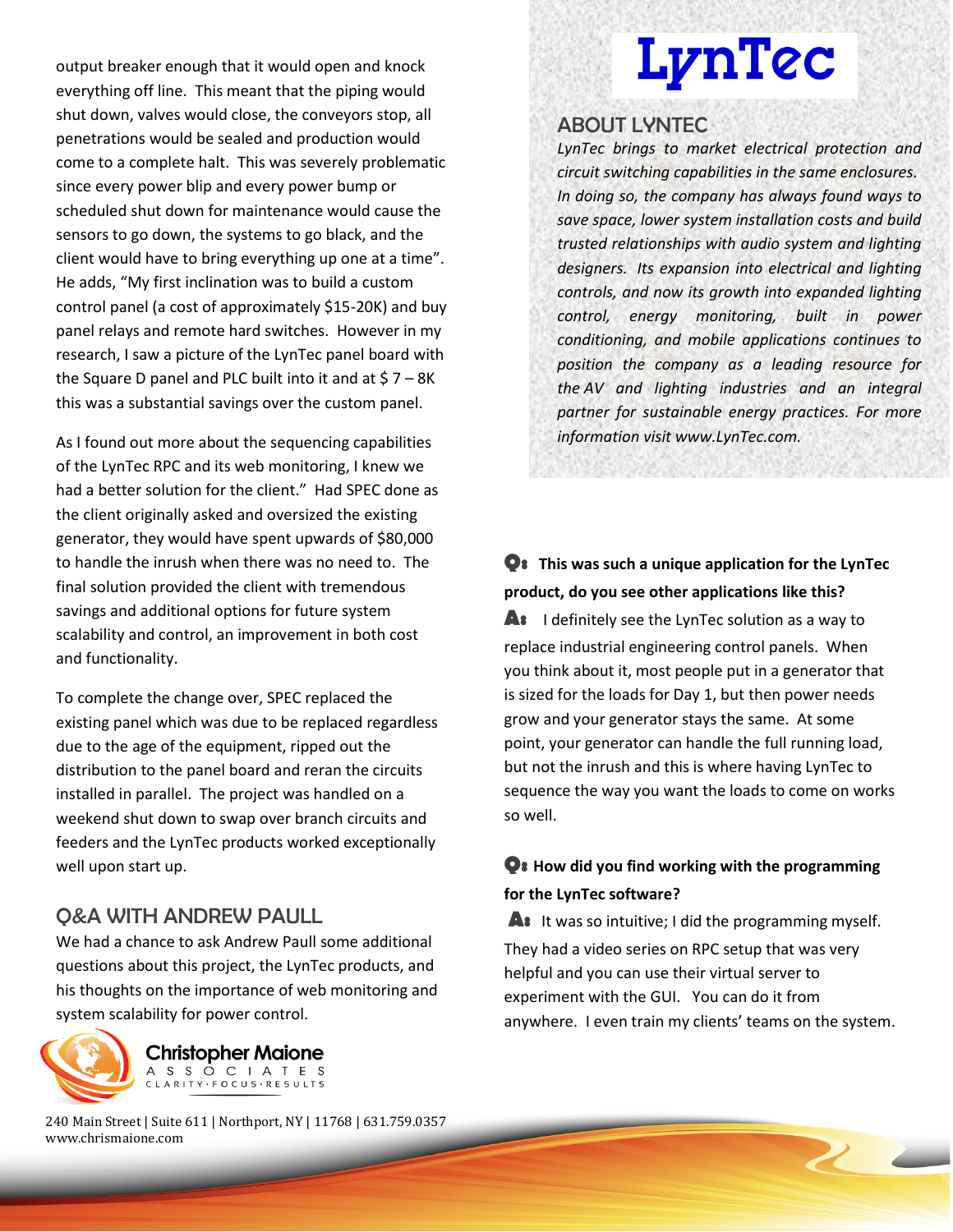output breaker enough that it would open and knock everything off line. This meant that the piping would shut down, valves would close, the conveyors stop, all penetrations would be sealed and production would come to a complete halt. This was severely problematic since every power blip and every power bump or scheduled shut down for maintenance would cause the sensors to go down, the systems to go black, and the client would have to bring everything up one at a time". He adds, "My first inclination was to build a custom control panel (a cost of approximately \$15-20K) and buy panel relays and remote hard switches. However in my research, I saw a picture of the LynTec panel board with the Square D panel and PLC built into it and at  $$7 - 8K$ this was a substantial savings over the custom panel.

As I found out more about the sequencing capabilities of the LynTec RPC and its web monitoring, I knew we had a better solution for the client." Had SPEC done as the client originally asked and oversized the existing generator, they would have spent upwards of \$80,000 to handle the inrush when there was no need to. The final solution provided the client with tremendous savings and additional options for future system scalability and control, an improvement in both cost and functionality.

To complete the change over, SPEC replaced the existing panel which was due to be replaced regardless due to the age of the equipment, ripped out the distribution to the panel board and reran the circuits installed in parallel. The project was handled on a weekend shut down to swap over branch circuits and feeders and the LynTec products worked exceptionally well upon start up.

#### Q&A WITH ANDREW PAULL

We had a chance to ask Andrew Paull some additional questions about this project, the LynTec products, and his thoughts on the importance of web monitoring and system scalability for power control.



**Christopher Maione** A S S O C I A T E S CLARITY · FOCUS · RESULTS

240 Main Street | Suite 611 | Northport, NY | 11768 | 631.759.0357 www.chrismaione.com

# **LynTec**

#### ABOUT LYNTEC

*LynTec brings to market electrical protection and circuit switching capabilities in the same enclosures. In doing so, the company has always found ways to save space, lower system installation costs and build trusted relationships with audio system and lighting designers. Its expansion into electrical and lighting controls, and now its growth into expanded lighting control, energy monitoring, built in power conditioning, and mobile applications continues to position the company as a leading resource for the AV and lighting industries and an integral partner for sustainable energy practices. For more information visit www.LynTec.com.*

# **Q: This was such a unique application for the LynTec product, do you see other applications like this?**

**A:** I definitely see the LynTec solution as a way to replace industrial engineering control panels. When you think about it, most people put in a generator that is sized for the loads for Day 1, but then power needs grow and your generator stays the same. At some point, your generator can handle the full running load, but not the inrush and this is where having LynTec to sequence the way you want the loads to come on works so well.

#### **Q: How did you find working with the programming for the LynTec software?**

A: It was so intuitive; I did the programming myself. They had a [video series on RPC setup t](http://www.lyntec.com/support/how-to-videos/)hat was very helpful and you can use their [virtual server t](http://demo1.lyntec.com/)o experiment with the GUI. You can do it from anywhere. I even train my clients' teams on the system.

 $\overline{2}$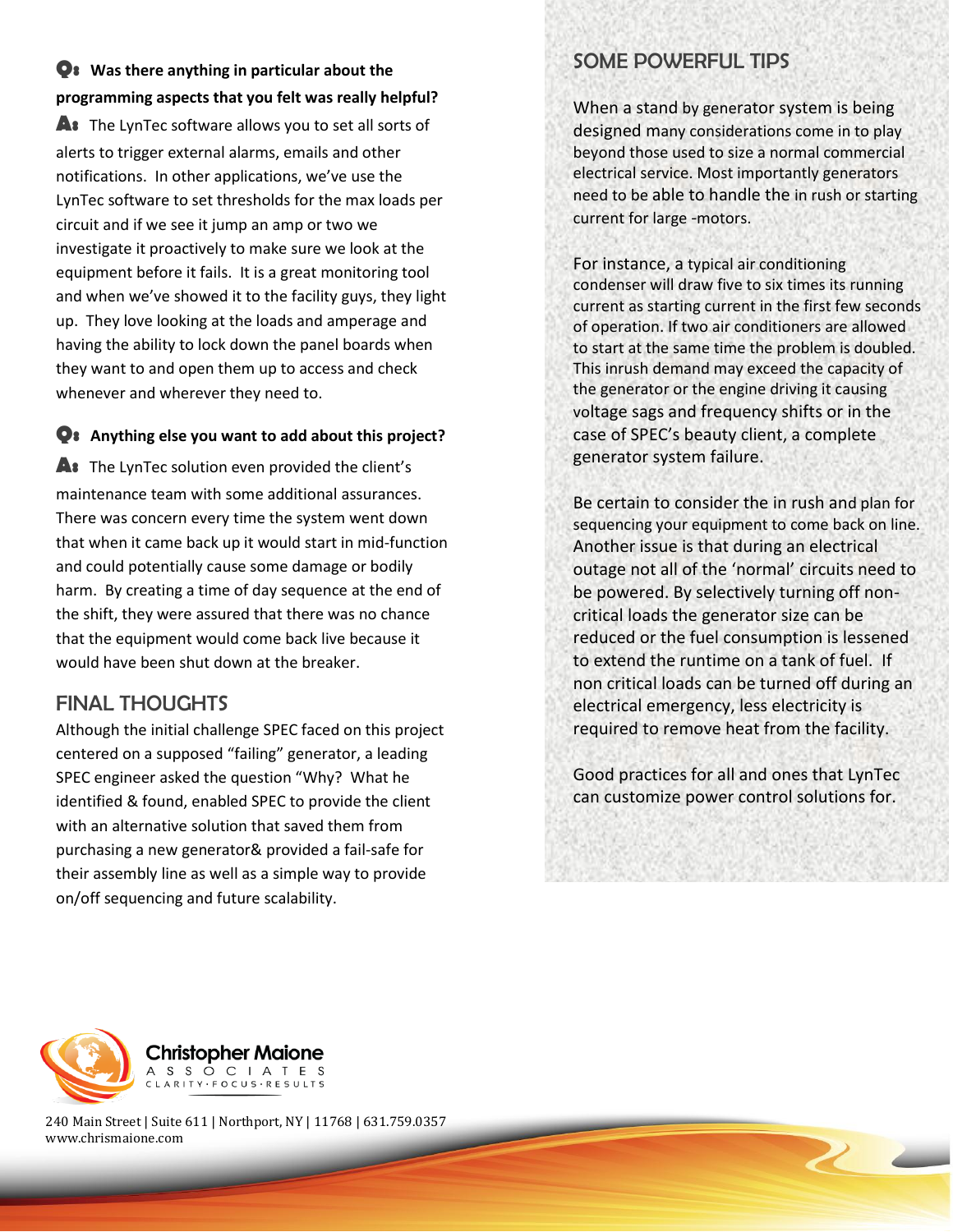# **Q: Was there anything in particular about the programming aspects that you felt was really helpful?**

**A:** The LynTec software allows you to set all sorts of alerts to trigger external alarms, emails and other notifications. In other applications, we've use the LynTec software to set thresholds for the max loads per circuit and if we see it jump an amp or two we investigate it proactively to make sure we look at the equipment before it fails. It is a great monitoring tool and when we've showed it to the facility guys, they light up. They love looking at the loads and amperage and having the ability to lock down the panel boards when they want to and open them up to access and check whenever and wherever they need to.

#### **Q: Anything else you want to add about this project?**

**A:** The LynTec solution even provided the client's maintenance team with some additional assurances. There was concern every time the system went down that when it came back up it would start in mid-function and could potentially cause some damage or bodily harm. By creating a time of day sequence at the end of the shift, they were assured that there was no chance that the equipment would come back live because it would have been shut down at the breaker.

# FINAL THOUGHTS

Although the initial challenge SPEC faced on this project centered on a supposed "failing" generator, a leading SPEC engineer asked the question "Why? What he identified & found, enabled SPEC to provide the client with an alternative solution that saved them from purchasing a new generator& provided a fail-safe for their assembly line as well as a simple way to provide on/off sequencing and future scalability.

# SOME POWERFUL TIPS

When a stand by generator system is being designed many considerations come in to play beyond those used to size a normal commercial electrical service. Most importantly generators need to be able to handle the in rush or starting current for large -motors.

For instance, a typical air conditioning condenser will draw five to six times its running current as starting current in the first few seconds of operation. If two air conditioners are allowed to start at the same time the problem is doubled. This inrush demand may exceed the capacity of the generator or the engine driving it causing voltage sags and frequency shifts or in the case of SPEC's beauty client, a complete generator system failure.

Be certain to consider the in rush and plan for sequencing your equipment to come back on line. Another issue is that during an electrical outage not all of the 'normal' circuits need to be powered. By selectively turning off noncritical loads the generator size can be reduced or the fuel consumption is lessened to extend the runtime on a tank of fuel. If non critical loads can be turned off during an electrical emergency, less electricity is required to remove heat from the facility.

Good practices for all and ones that LynTec can customize power control solutions for.

 $\overline{2}$ 



240 Main Street | Suite 611 | Northport, NY | 11768 | 631.759.0357 www.chrismaione.com